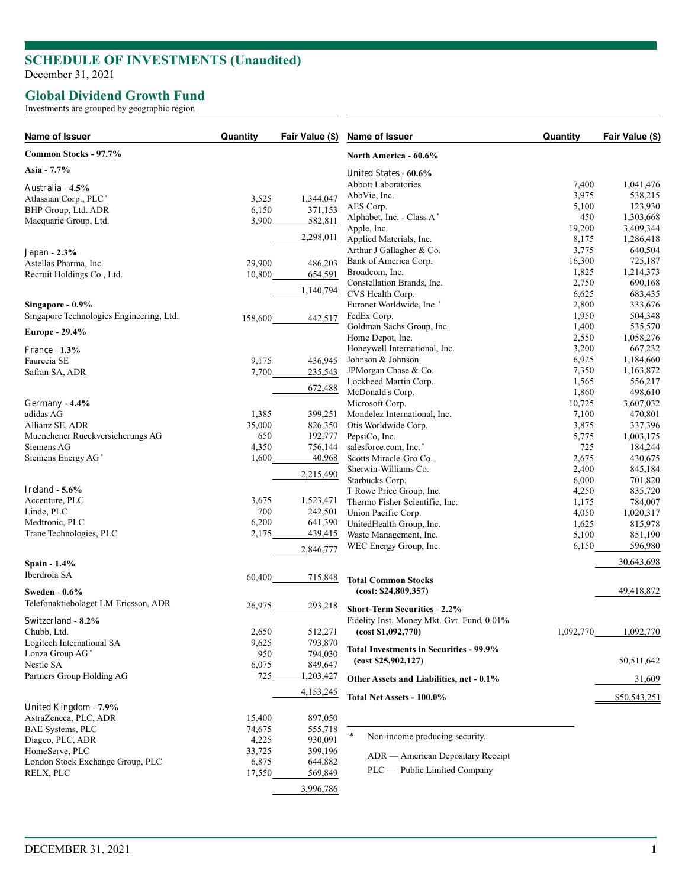## **SCHEDULE OF INVESTMENTS (Unaudited)**

December 31, 2021

## **Global Dividend Growth Fund**

Investments are grouped by geographic region

| Name of Issuer                           | Quantity | Fair Value (\$) | Name of Issuer                             | Quantity  | Fair Value (\$) |
|------------------------------------------|----------|-----------------|--------------------------------------------|-----------|-----------------|
| Common Stocks - 97.7%                    |          |                 | <b>North America - 60.6%</b>               |           |                 |
| Asia - 7.7%                              |          |                 | United States - 60.6%                      |           |                 |
| Australia - 4.5%                         |          |                 | <b>Abbott Laboratories</b>                 | 7,400     | 1,041,476       |
| Atlassian Corp., PLC*                    | 3,525    | 1,344,047       | AbbVie, Inc.                               | 3,975     | 538,215         |
| BHP Group, Ltd. ADR                      | 6,150    | 371,153         | AES Corp.                                  | 5,100     | 123,930         |
| Macquarie Group, Ltd.                    | 3,900    | 582,811         | Alphabet, Inc. - Class A*                  | 450       | 1,303,668       |
|                                          |          |                 | Apple, Inc.                                | 19,200    | 3,409,344       |
|                                          |          | 2,298,011       | Applied Materials, Inc.                    | 8,175     | 1,286,418       |
| Japan - 2.3%                             |          |                 | Arthur J Gallagher & Co.                   | 3,775     | 640,504         |
| Astellas Pharma, Inc.                    | 29,900   | 486,203         | Bank of America Corp.                      | 16,300    | 725,187         |
| Recruit Holdings Co., Ltd.               | 10,800   | 654,591         | Broadcom, Inc.                             | 1,825     | 1,214,373       |
|                                          |          |                 | Constellation Brands, Inc.                 | 2,750     | 690,168         |
|                                          |          | 1,140,794       | CVS Health Corp.                           | 6,625     | 683,435         |
| Singapore - 0.9%                         |          |                 | Euronet Worldwide, Inc.*                   | 2,800     | 333,676         |
| Singapore Technologies Engineering, Ltd. | 158,600  | 442,517         | FedEx Corp.                                | 1,950     | 504,348         |
|                                          |          |                 | Goldman Sachs Group, Inc.                  | 1,400     | 535,570         |
| Europe - 29.4%                           |          |                 | Home Depot, Inc.                           | 2,550     | 1,058,276       |
| <b>France - 1.3%</b>                     |          |                 | Honeywell International, Inc.              | 3,200     | 667,232         |
| Faurecia SE                              | 9,175    | 436,945         | Johnson & Johnson                          | 6,925     | 1,184,660       |
|                                          |          |                 | JPMorgan Chase & Co.                       | 7,350     | 1,163,872       |
| Safran SA, ADR                           | 7,700    | 235,543         | Lockheed Martin Corp.                      | 1,565     | 556,217         |
|                                          |          | 672,488         | McDonald's Corp.                           | 1,860     | 498,610         |
| Germany - 4.4%                           |          |                 | Microsoft Corp.                            | 10,725    | 3,607,032       |
| adidas AG                                |          |                 |                                            | 7,100     |                 |
|                                          | 1,385    | 399,251         | Mondelez International, Inc.               |           | 470,801         |
| Allianz SE, ADR                          | 35,000   | 826,350         | Otis Worldwide Corp.                       | 3,875     | 337,396         |
| Muenchener Rueckversicherungs AG         | 650      | 192,777         | PepsiCo, Inc.                              | 5,775     | 1,003,175       |
| Siemens AG                               | 4,350    | 756,144         | salesforce.com, Inc.*                      | 725       | 184,244         |
| Siemens Energy AG*                       | 1,600    | 40,968          | Scotts Miracle-Gro Co.                     | 2,675     | 430,675         |
|                                          |          | 2,215,490       | Sherwin-Williams Co.                       | 2,400     | 845,184         |
|                                          |          |                 | Starbucks Corp.                            | 6,000     | 701,820         |
| Ireland - $5.6\%$                        |          |                 | T Rowe Price Group, Inc.                   | 4,250     | 835,720         |
| Accenture, PLC                           | 3,675    | 1,523,471       | Thermo Fisher Scientific, Inc.             | 1,175     | 784,007         |
| Linde, PLC                               | 700      | 242,501         | Union Pacific Corp.                        | 4,050     | 1,020,317       |
| Medtronic, PLC                           | 6,200    | 641,390         | UnitedHealth Group, Inc.                   | 1,625     | 815,978         |
| Trane Technologies, PLC                  | 2,175    | 439,415         | Waste Management, Inc.                     | 5,100     | 851,190         |
|                                          |          | 2,846,777       | WEC Energy Group, Inc.                     | 6,150     | 596,980         |
| Spain - 1.4%                             |          |                 |                                            |           | 30,643,698      |
| Iberdrola SA                             | 60,400   | 715,848         | <b>Total Common Stocks</b>                 |           |                 |
|                                          |          |                 | (cost: \$24,809,357)                       |           | 49,418,872      |
| <b>Sweden - 0.6%</b>                     |          |                 |                                            |           |                 |
| Telefonaktiebolaget LM Ericsson, ADR     | 26,975   | 293,218         | <b>Short-Term Securities - 2.2%</b>        |           |                 |
| Switzerland - 8.2%                       |          |                 | Fidelity Inst. Money Mkt. Gvt. Fund, 0.01% |           |                 |
| Chubb, Ltd.                              | 2,650    | 512,271         | (cost \$1,092,770)                         | 1,092,770 | 1,092,770       |
| Logitech International SA                | 9,625    | 793,870         |                                            |           |                 |
| Lonza Group AG <sup>*</sup>              | 950      | 794,030         | Total Investments in Securities - 99.9%    |           |                 |
| Nestle SA                                | 6,075    | 849,647         | (cost \$25,902,127)                        |           | 50,511,642      |
| Partners Group Holding AG                | 725      | 1,203,427       |                                            |           |                 |
|                                          |          |                 | Other Assets and Liabilities, net - 0.1%   |           | 31,609          |
|                                          |          | 4,153,245       | Total Net Assets - 100.0%                  |           | \$50,543,251    |
| United Kingdom - 7.9%                    |          |                 |                                            |           |                 |
| AstraZeneca, PLC, ADR                    | 15,400   | 897,050         |                                            |           |                 |
| <b>BAE Systems, PLC</b>                  | 74,675   | 555,718         | *<br>Non-income producing security.        |           |                 |
| Diageo, PLC, ADR                         | 4,225    | 930,091         |                                            |           |                 |
| HomeServe, PLC                           | 33,725   | 399,196         | ADR — American Depositary Receipt          |           |                 |
| London Stock Exchange Group, PLC         | 6,875    | 644,882         | PLC — Public Limited Company               |           |                 |
| RELX, PLC                                | 17,550   | 569,849         |                                            |           |                 |
|                                          |          | 3,996,786       |                                            |           |                 |